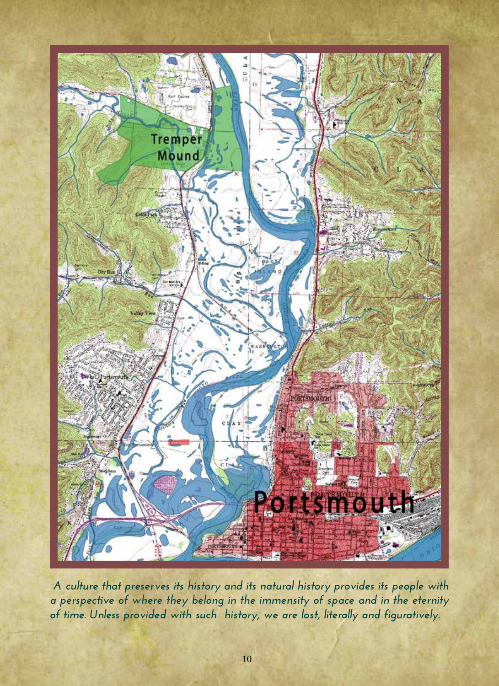

 *A culture that preserves its history and its natural history provides its people with a perspective of where they belong in the immensity of space and in the eternity of time. Unless provided with such history, we are lost, literally and figuratively.*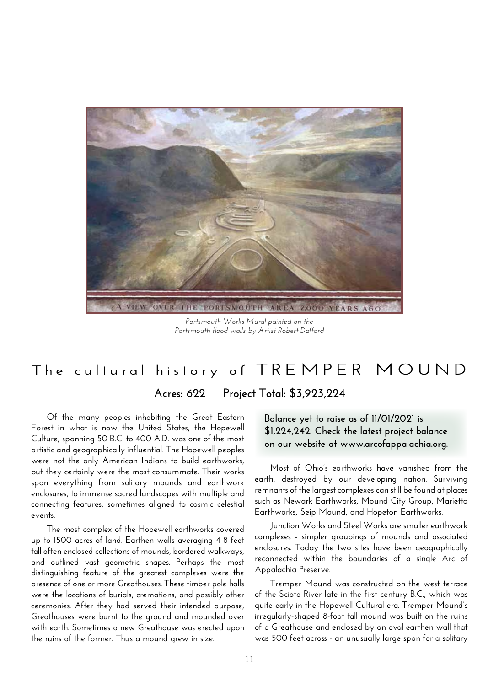

*Portsmouth Works Mural painted on the Portsmouth flood walls by Artist Robert Dafford*

## **The cultural history of TREMPER MOUND**

**Acres: 622 Project Total: \$3,923,224** 

**Of the many peoples inhabiting the Great Eastern Forest in what is now the United States, the Hopewell Culture, spanning 50 B.C. to 400 A.D. was one of the most artistic and geographically influential. The Hopewell peoples were not the only American Indians to build earthworks, but they certainly were the most consummate. Their works span everything from solitary mounds and earthwork enclosures, to immense sacred landscapes with multiple and connecting features, sometimes aligned to cosmic celestial events.**

**The most complex of the Hopewell earthworks covered up to 1500 acres of land. Earthen walls averaging 4-8 feet tall often enclosed collections of mounds, bordered walkways, and outlined vast geometric shapes. Perhaps the most distinguishing feature of the greatest complexes were the presence of one or more Greathouses. These timber pole halls were the locations of burials, cremations, and possibly other ceremonies. After they had served their intended purpose, Greathouses were burnt to the ground and mounded over with earth. Sometimes a new Greathouse was erected upon the ruins of the former. Thus a mound grew in size.**

## **Balance yet to raise as of 11/01/2021 is \$1,224,242. Check the latest project balance on our website at www.arcofappalachia.org.**

**Most of Ohio's earthworks have vanished from the earth, destroyed by our developing nation. Surviving remnants of the largest complexes can still be found at places such as Newark Earthworks, Mound City Group, Marietta Earthworks, Seip Mound, and Hopeton Earthworks.** 

**Junction Works and Steel Works are smaller earthwork complexes - simpler groupings of mounds and associated enclosures. Today the two sites have been geographically reconnected within the boundaries of a single Arc of Appalachia Preserve.** 

**Tremper Mound was constructed on the west terrace of the Scioto River late in the first century B.C., which was quite early in the Hopewell Cultural era. Tremper Mound's irregularly-shaped 8-foot tall mound was built on the ruins of a Greathouse and enclosed by an oval earthen wall that was 500 feet across - an unusually large span for a solitary**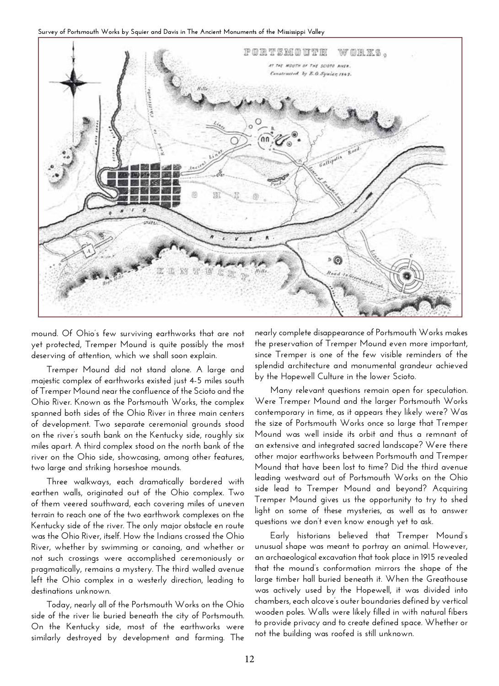

**mound. Of Ohio's few surviving earthworks that are not yet protected, Tremper Mound is quite possibly the most deserving of attention, which we shall soon explain.** 

**Tremper Mound did not stand alone. A large and majestic complex of earthworks existed just 4-5 miles south of Tremper Mound near the confluence of the Scioto and the Ohio River. Known as the Portsmouth Works, the complex spanned both sides of the Ohio River in three main centers of development. Two separate ceremonial grounds stood on the river's south bank on the Kentucky side, roughly six miles apart. A third complex stood on the north bank of the river on the Ohio side, showcasing, among other features, two large and striking horseshoe mounds.** 

**Three walkways, each dramatically bordered with earthen walls, originated out of the Ohio complex. Two of them veered southward, each covering miles of uneven terrain to reach one of the two earthwork complexes on the Kentucky side of the river. The only major obstacle en route was the Ohio River, itself. How the Indians crossed the Ohio River, whether by swimming or canoing, and whether or not such crossings were accomplished ceremoniously or pragmatically, remains a mystery. The third walled avenue left the Ohio complex in a westerly direction, leading to destinations unknown.** 

**Today, nearly all of the Portsmouth Works on the Ohio side of the river lie buried beneath the city of Portsmouth. On the Kentucky side, most of the earthworks were similarly destroyed by development and farming. The** 

**nearly complete disappearance of Portsmouth Works makes the preservation of Tremper Mound even more important, since Tremper is one of the few visible reminders of the splendid architecture and monumental grandeur achieved by the Hopewell Culture in the lower Scioto.**

**Many relevant questions remain open for speculation. Were Tremper Mound and the larger Portsmouth Works contemporary in time, as it appears they likely were? Was the size of Portsmouth Works once so large that Tremper Mound was well inside its orbit and thus a remnant of an extensive and integrated sacred landscape? Were there other major earthworks between Portsmouth and Tremper Mound that have been lost to time? Did the third avenue leading westward out of Portsmouth Works on the Ohio side lead to Tremper Mound and beyond? Acquiring Tremper Mound gives us the opportunity to try to shed light on some of these mysteries, as well as to answer questions we don't even know enough yet to ask.** 

**Early historians believed that Tremper Mound's unusual shape was meant to portray an animal. However, an archaeological excavation that took place in 1915 revealed that the mound's conformation mirrors the shape of the large timber hall buried beneath it. When the Greathouse was actively used by the Hopewell, it was divided into chambers, each alcove's outer boundaries defined by vertical wooden poles. Walls were likely filled in with natural fibers to provide privacy and to create defined space. Whether or not the building was roofed is still unknown.**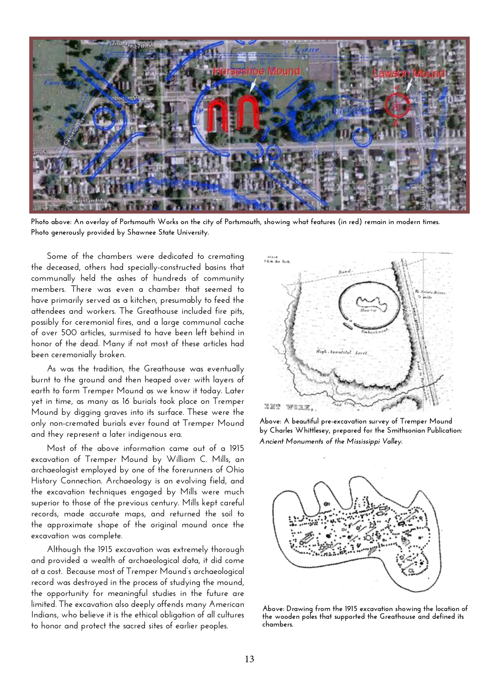

**Photo above: An overlay of Portsmouth Works on the city of Portsmouth, showing what features (in red) remain in modern times. Photo generously provided by Shawnee State University.** 

**Some of the chambers were dedicated to cremating the deceased, others had specially-constructed basins that communally held the ashes of hundreds of community members. There was even a chamber that seemed to have primarily served as a kitchen, presumably to feed the attendees and workers. The Greathouse included fire pits, possibly for ceremonial fires, and a large communal cache of over 500 articles, surmised to have been left behind in honor of the dead. Many if not most of these articles had been ceremonially broken.** 

**As was the tradition, the Greathouse was eventually burnt to the ground and then heaped over with layers of earth to form Tremper Mound as we know it today. Later yet in time, as many as 16 burials took place on Tremper Mound by digging graves into its surface. These were the only non-cremated burials ever found at Tremper Mound and they represent a later indigenous era.**

**Most of the above information came out of a 1915 excavation of Tremper Mound by William C. Mills, an archaeologist employed by one of the forerunners of Ohio History Connection. Archaeology is an evolving field, and the excavation techniques engaged by Mills were much superior to those of the previous century. Mills kept careful records, made accurate maps, and returned the soil to the approximate shape of the original mound once the excavation was complete.** 

**Although the 1915 excavation was extremely thorough and provided a wealth of archaeological data, it did come at a cost. Because most of Tremper Mound's archaeological record was destroyed in the process of studying the mound, the opportunity for meaningful studies in the future are limited. The excavation also deeply offends many American Indians, who believe it is the ethical obligation of all cultures to honor and protect the sacred sites of earlier peoples.** 



**Above: A beautiful pre-excavation survey of Tremper Mound by Charles Whittlesey, prepared for the Smithsonian Publication:**  *Ancient Monuments of the Mississippi Valley.*



**Above: Drawing from the 1915 excavation showing the location of the wooden poles that supported the Greathouse and defined its chambers.**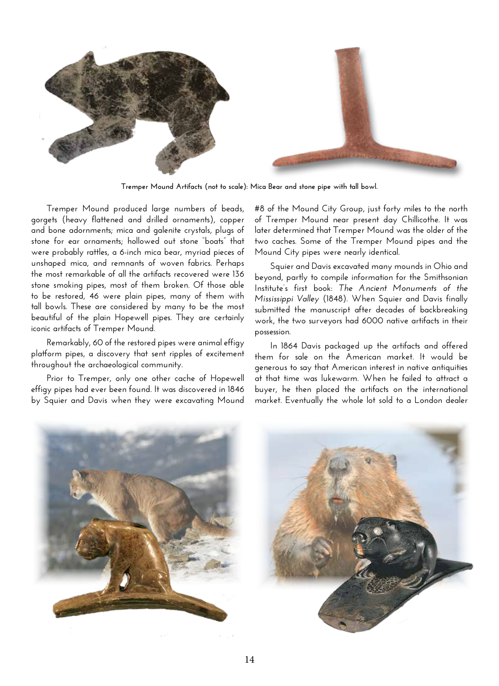

**Tremper Mound Artifacts (not to scale): Mica Bear and stone pipe with tall bowl.**

**Tremper Mound produced large numbers of beads, gorgets (heavy flattened and drilled ornaments), copper and bone adornments; mica and galenite crystals, plugs of stone for ear ornaments; hollowed out stone "boats" that were probably rattles, a 6-inch mica bear, myriad pieces of unshaped mica, and remnants of woven fabrics. Perhaps the most remarkable of all the artifacts recovered were 136 stone smoking pipes, most of them broken. Of those able to be restored, 46 were plain pipes, many of them with tall bowls. These are considered by many to be the most beautiful of the plain Hopewell pipes. They are certainly iconic artifacts of Tremper Mound.** 

**Remarkably, 60 of the restored pipes were animal effigy platform pipes, a discovery that sent ripples of excitement throughout the archaeological community.**

**Prior to Tremper, only one other cache of Hopewell effigy pipes had ever been found. It was discovered in 1846 by Squier and Davis when they were excavating Mound**  **#8 of the Mound City Group, just forty miles to the north of Tremper Mound near present day Chillicothe. It was later determined that Tremper Mound was the older of the two caches. Some of the Tremper Mound pipes and the Mound City pipes were nearly identical.**

**Squier and Davis excavated many mounds in Ohio and beyond, partly to compile information for the Smithsonian Institute's first book:** *The Ancient Monuments of the Mississippi Valley* **(1848). When Squier and Davis finally submitted the manuscript after decades of backbreaking work, the two surveyors had 6000 native artifacts in their possession.** 

**In 1864 Davis packaged up the artifacts and offered them for sale on the American market. It would be generous to say that American interest in native antiquities at that time was lukewarm. When he failed to attract a buyer, he then placed the artifacts on the international market. Eventually the whole lot sold to a London dealer** 

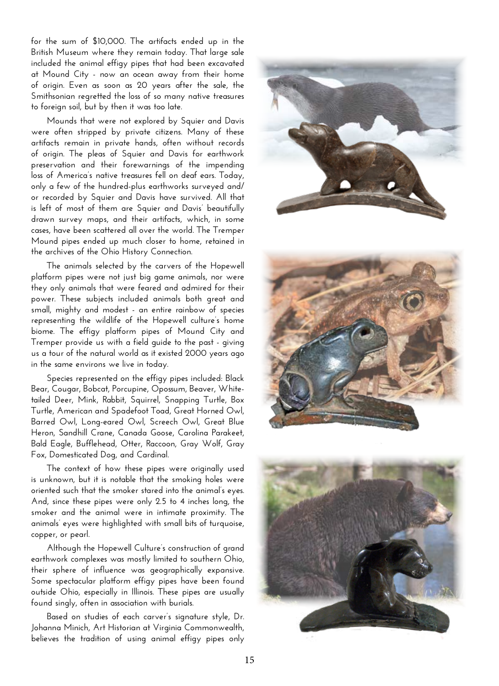**for the sum of \$10,000. The artifacts ended up in the British Museum where they remain today. That large sale included the animal effigy pipes that had been excavated at Mound City - now an ocean away from their home of origin. Even as soon as 20 years after the sale, the Smithsonian regretted the loss of so many native treasures to foreign soil, but by then it was too late.**

**Mounds that were not explored by Squier and Davis were often stripped by private citizens. Many of these artifacts remain in private hands, often without records of origin. The pleas of Squier and Davis for earthwork preservation and their forewarnings of the impending loss of America's native treasures fell on deaf ears. Today, only a few of the hundred-plus earthworks surveyed and/ or recorded by Squier and Davis have survived. All that is left of most of them are Squier and Davis' beautifully drawn survey maps, and their artifacts, which, in some cases, have been scattered all over the world. The Tremper Mound pipes ended up much closer to home, retained in the archives of the Ohio History Connection.** 

**The animals selected by the carvers of the Hopewell platform pipes were not just big game animals, nor were they only animals that were feared and admired for their power. These subjects included animals both great and small, mighty and modest - an entire rainbow of species representing the wildlife of the Hopewell culture's home biome. The effigy platform pipes of Mound City and Tremper provide us with a field guide to the past - giving us a tour of the natural world as it existed 2000 years ago in the same environs we live in today.** 

**Species represented on the effigy pipes included: Black Bear, Cougar, Bobcat, Porcupine, Opossum, Beaver, Whitetailed Deer, Mink, Rabbit, Squirrel, Snapping Turtle, Box Turtle, American and Spadefoot Toad, Great Horned Owl, Barred Owl, Long-eared Owl, Screech Owl, Great Blue Heron, Sandhill Crane, Canada Goose, Carolina Parakeet, Bald Eagle, Bufflehead, Otter, Raccoon, Gray Wolf, Gray Fox, Domesticated Dog, and Cardinal.** 

**The context of how these pipes were originally used is unknown, but it is notable that the smoking holes were oriented such that the smoker stared into the animal's eyes. And, since these pipes were only 2.5 to 4 inches long, the smoker and the animal were in intimate proximity. The animals' eyes were highlighted with small bits of turquoise, copper, or pearl.** 

**Although the Hopewell Culture's construction of grand earthwork complexes was mostly limited to southern Ohio, their sphere of influence was geographically expansive. Some spectacular platform effigy pipes have been found outside Ohio, especially in Illinois. These pipes are usually found singly, often in association with burials.** 

**Based on studies of each carver's signature style, Dr. Johanna Minich, Art Historian at Virginia Commonwealth, believes the tradition of using animal effigy pipes only**